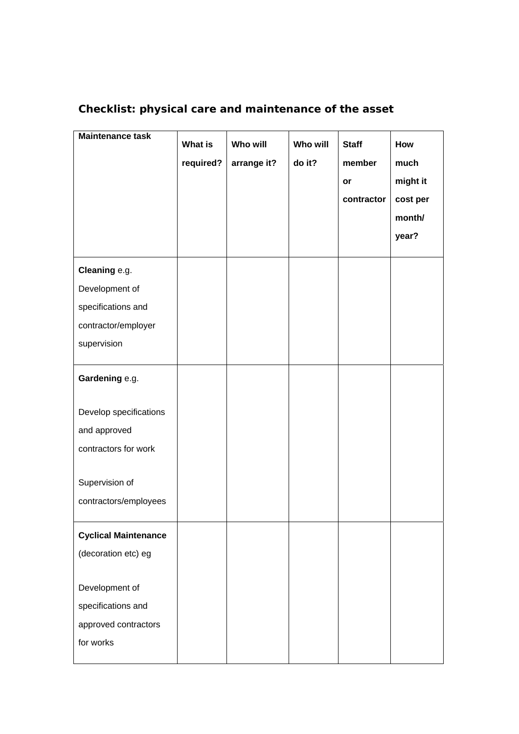| <b>Maintenance task</b>     | <b>What is</b><br>required? | Who will<br>arrange it? | <b>Who will</b><br>do it? | <b>Staff</b><br>member<br>or<br>contractor | How<br>much<br>might it<br>cost per<br>month/<br>year? |
|-----------------------------|-----------------------------|-------------------------|---------------------------|--------------------------------------------|--------------------------------------------------------|
| Cleaning e.g.               |                             |                         |                           |                                            |                                                        |
| Development of              |                             |                         |                           |                                            |                                                        |
| specifications and          |                             |                         |                           |                                            |                                                        |
| contractor/employer         |                             |                         |                           |                                            |                                                        |
| supervision                 |                             |                         |                           |                                            |                                                        |
| Gardening e.g.              |                             |                         |                           |                                            |                                                        |
| Develop specifications      |                             |                         |                           |                                            |                                                        |
| and approved                |                             |                         |                           |                                            |                                                        |
| contractors for work        |                             |                         |                           |                                            |                                                        |
| Supervision of              |                             |                         |                           |                                            |                                                        |
| contractors/employees       |                             |                         |                           |                                            |                                                        |
| <b>Cyclical Maintenance</b> |                             |                         |                           |                                            |                                                        |
| (decoration etc) eg         |                             |                         |                           |                                            |                                                        |
| Development of              |                             |                         |                           |                                            |                                                        |
| specifications and          |                             |                         |                           |                                            |                                                        |
| approved contractors        |                             |                         |                           |                                            |                                                        |
| for works                   |                             |                         |                           |                                            |                                                        |

## **Checklist: physical care and maintenance of the asset**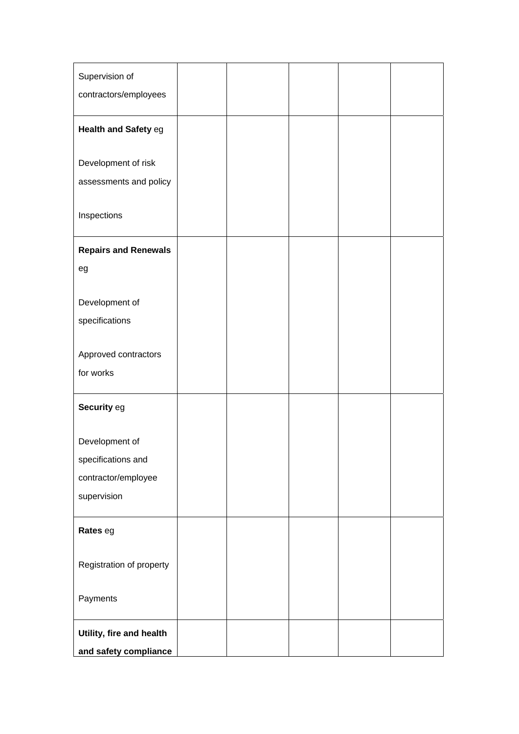| Supervision of<br>contractors/employees |  |  |  |
|-----------------------------------------|--|--|--|
| Health and Safety eg                    |  |  |  |
| Development of risk                     |  |  |  |
| assessments and policy                  |  |  |  |
| Inspections                             |  |  |  |
| <b>Repairs and Renewals</b>             |  |  |  |
| eg                                      |  |  |  |
|                                         |  |  |  |
| Development of<br>specifications        |  |  |  |
|                                         |  |  |  |
| Approved contractors                    |  |  |  |
| for works                               |  |  |  |
| Security eg                             |  |  |  |
|                                         |  |  |  |
| Development of<br>specifications and    |  |  |  |
| contractor/employee                     |  |  |  |
| supervision                             |  |  |  |
|                                         |  |  |  |
| Rates eg                                |  |  |  |
|                                         |  |  |  |
| Registration of property                |  |  |  |
| Payments                                |  |  |  |
| Utility, fire and health                |  |  |  |
| and safety compliance                   |  |  |  |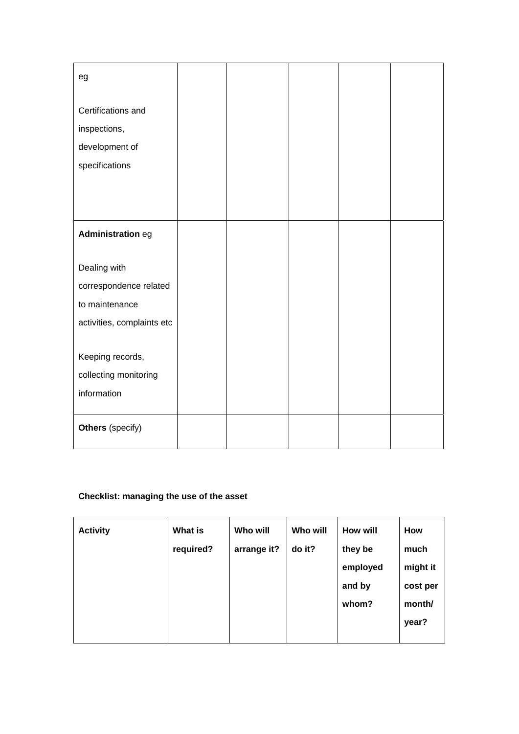| eg                         |  |  |  |
|----------------------------|--|--|--|
| Certifications and         |  |  |  |
| inspections,               |  |  |  |
| development of             |  |  |  |
| specifications             |  |  |  |
|                            |  |  |  |
|                            |  |  |  |
| Administration eg          |  |  |  |
| Dealing with               |  |  |  |
| correspondence related     |  |  |  |
| to maintenance             |  |  |  |
| activities, complaints etc |  |  |  |
|                            |  |  |  |
| Keeping records,           |  |  |  |
| collecting monitoring      |  |  |  |
| information                |  |  |  |
| Others (specify)           |  |  |  |

## **Checklist: managing the use of the asset**

| <b>Activity</b> | What is   | Who will    | Who will | How will | How      |
|-----------------|-----------|-------------|----------|----------|----------|
|                 | required? | arrange it? | do it?   | they be  | much     |
|                 |           |             |          | employed | might it |
|                 |           |             |          | and by   | cost per |
|                 |           |             |          | whom?    | month/   |
|                 |           |             |          |          | year?    |
|                 |           |             |          |          |          |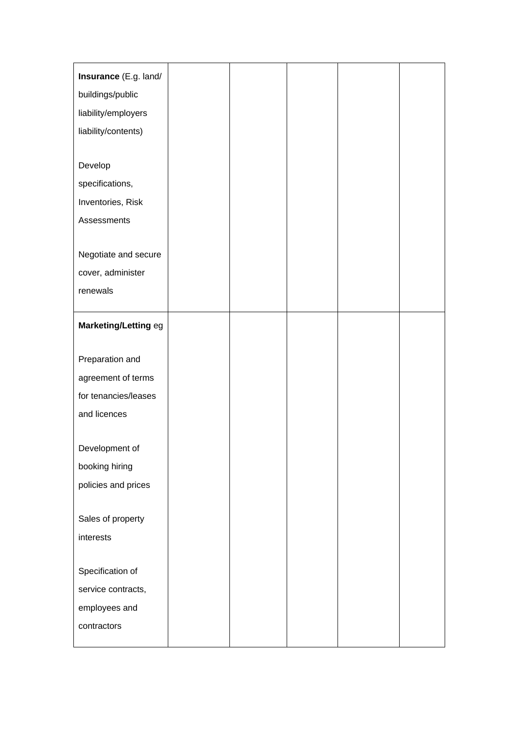| Insurance (E.g. land/ |  |  |  |
|-----------------------|--|--|--|
| buildings/public      |  |  |  |
| liability/employers   |  |  |  |
| liability/contents)   |  |  |  |
|                       |  |  |  |
| Develop               |  |  |  |
| specifications,       |  |  |  |
| Inventories, Risk     |  |  |  |
| Assessments           |  |  |  |
|                       |  |  |  |
| Negotiate and secure  |  |  |  |
| cover, administer     |  |  |  |
| renewals              |  |  |  |
|                       |  |  |  |
| Marketing/Letting eg  |  |  |  |
|                       |  |  |  |
| Preparation and       |  |  |  |
| agreement of terms    |  |  |  |
| for tenancies/leases  |  |  |  |
| and licences          |  |  |  |
| Development of        |  |  |  |
| booking hiring        |  |  |  |
| policies and prices   |  |  |  |
|                       |  |  |  |
| Sales of property     |  |  |  |
| interests             |  |  |  |
|                       |  |  |  |
| Specification of      |  |  |  |
| service contracts,    |  |  |  |
| employees and         |  |  |  |
| contractors           |  |  |  |
|                       |  |  |  |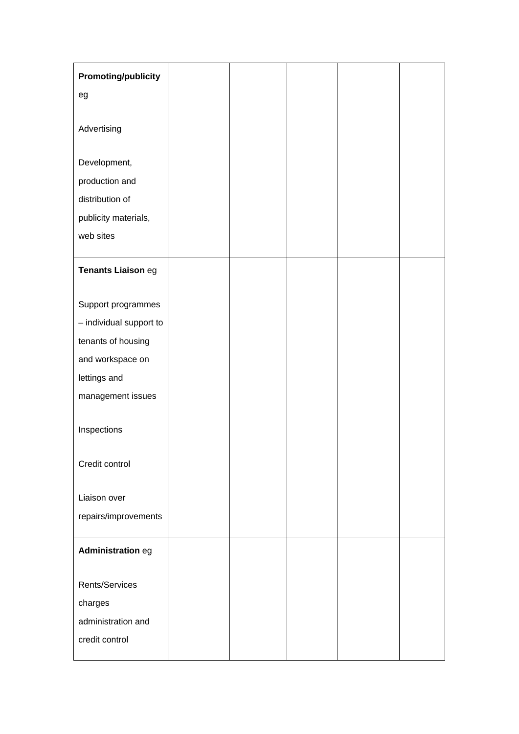| <b>Promoting/publicity</b>        |  |  |  |
|-----------------------------------|--|--|--|
| eg                                |  |  |  |
|                                   |  |  |  |
| Advertising                       |  |  |  |
|                                   |  |  |  |
| Development,                      |  |  |  |
| production and<br>distribution of |  |  |  |
|                                   |  |  |  |
| publicity materials,<br>web sites |  |  |  |
|                                   |  |  |  |
| Tenants Liaison eg                |  |  |  |
|                                   |  |  |  |
| Support programmes                |  |  |  |
| - individual support to           |  |  |  |
| tenants of housing                |  |  |  |
| and workspace on                  |  |  |  |
| lettings and                      |  |  |  |
| management issues                 |  |  |  |
|                                   |  |  |  |
| Inspections                       |  |  |  |
|                                   |  |  |  |
| Credit control                    |  |  |  |
| Liaison over                      |  |  |  |
| repairs/improvements              |  |  |  |
|                                   |  |  |  |
| Administration eg                 |  |  |  |
|                                   |  |  |  |
| Rents/Services                    |  |  |  |
| charges                           |  |  |  |
| administration and                |  |  |  |
| credit control                    |  |  |  |
|                                   |  |  |  |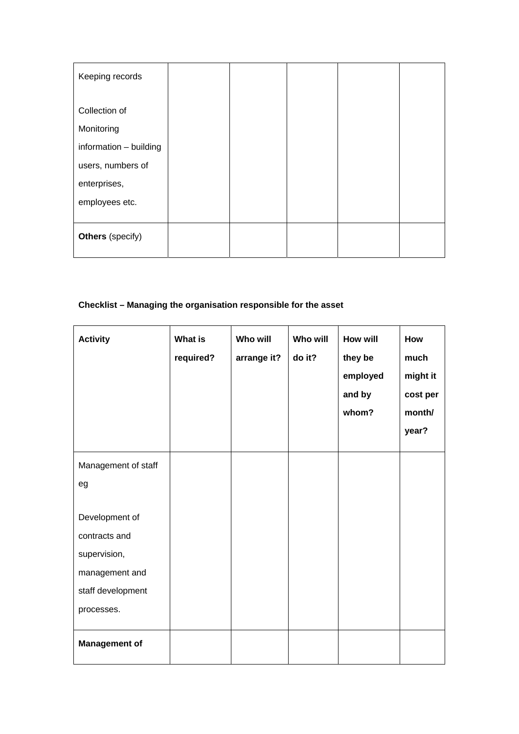| Keeping records                   |  |  |  |
|-----------------------------------|--|--|--|
| Collection of<br>Monitoring       |  |  |  |
| information - building            |  |  |  |
| users, numbers of<br>enterprises, |  |  |  |
| employees etc.                    |  |  |  |
| <b>Others</b> (specify)           |  |  |  |

## **Checklist – Managing the organisation responsible for the asset**

| <b>Activity</b>                                                                                      | <b>What is</b><br>required? | Who will<br>arrange it? | <b>Who will</b><br>do it? | <b>How will</b><br>they be<br>employed<br>and by<br>whom? | How<br>much<br>might it<br>cost per<br>month/<br>year? |
|------------------------------------------------------------------------------------------------------|-----------------------------|-------------------------|---------------------------|-----------------------------------------------------------|--------------------------------------------------------|
| Management of staff                                                                                  |                             |                         |                           |                                                           |                                                        |
| eg                                                                                                   |                             |                         |                           |                                                           |                                                        |
| Development of<br>contracts and<br>supervision,<br>management and<br>staff development<br>processes. |                             |                         |                           |                                                           |                                                        |
| <b>Management of</b>                                                                                 |                             |                         |                           |                                                           |                                                        |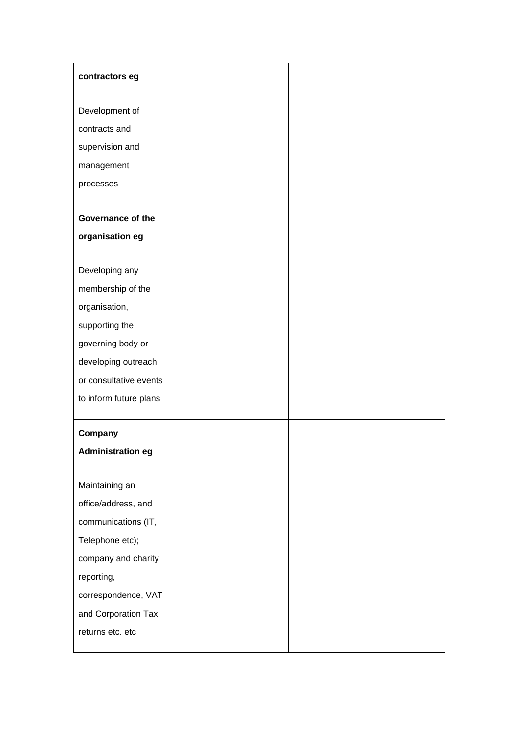| contractors eg           |  |  |  |
|--------------------------|--|--|--|
| Development of           |  |  |  |
| contracts and            |  |  |  |
| supervision and          |  |  |  |
| management               |  |  |  |
| processes                |  |  |  |
|                          |  |  |  |
| Governance of the        |  |  |  |
| organisation eg          |  |  |  |
|                          |  |  |  |
| Developing any           |  |  |  |
| membership of the        |  |  |  |
| organisation,            |  |  |  |
| supporting the           |  |  |  |
| governing body or        |  |  |  |
| developing outreach      |  |  |  |
| or consultative events   |  |  |  |
| to inform future plans   |  |  |  |
| Company                  |  |  |  |
| <b>Administration eg</b> |  |  |  |
|                          |  |  |  |
| Maintaining an           |  |  |  |
| office/address, and      |  |  |  |
| communications (IT,      |  |  |  |
| Telephone etc);          |  |  |  |
| company and charity      |  |  |  |
| reporting,               |  |  |  |
| correspondence, VAT      |  |  |  |
| and Corporation Tax      |  |  |  |
| returns etc. etc         |  |  |  |
|                          |  |  |  |